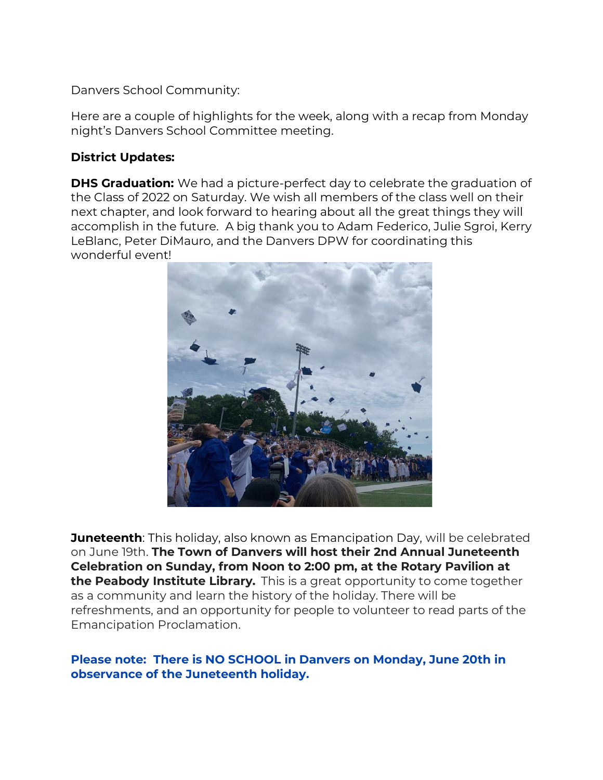Danvers School Community:

Here are a couple of highlights for the week, along with a recap from Monday night's Danvers School Committee meeting.

## **District Updates:**

**DHS Graduation:** We had a picture-perfect day to celebrate the graduation of the Class of 2022 on Saturday. We wish all members of the class well on their next chapter, and look forward to hearing about all the great things they will accomplish in the future. A big thank you to Adam Federico, Julie Sgroi, Kerry LeBlanc, Peter DiMauro, and the Danvers DPW for coordinating this wonderful event!



**Juneteenth**: This holiday, also known as Emancipation Day, will be celebrated on June 19th. **The Town of Danvers will host their 2nd Annual Juneteenth Celebration on Sunday, from Noon to 2:00 pm, at the Rotary Pavilion at the Peabody Institute Library.** This is a great opportunity to come together as a community and learn the history of the holiday. There will be refreshments, and an opportunity for people to volunteer to read parts of the Emancipation Proclamation.

### **Please note: There is NO SCHOOL in Danvers on Monday, June 20th in observance of the Juneteenth holiday.**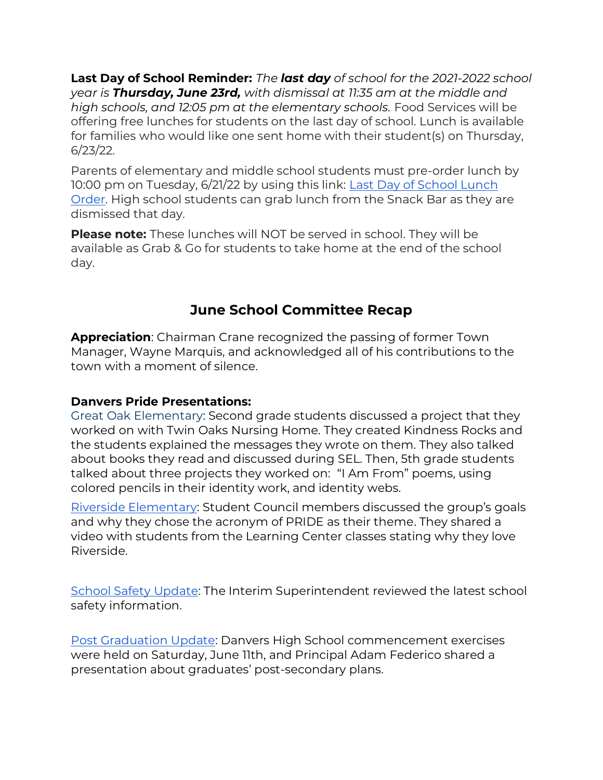**Last Day of School Reminder:** *The last day of school for the 2021-2022 school year is Thursday, June 23rd, with dismissal at 11:35 am at the middle and high schools, and 12:05 pm at the elementary schools.* Food Services will be offering free lunches for students on the last day of school. Lunch is available for families who would like one sent home with their student(s) on Thursday, 6/23/22.

Parents of elementary and middle school students must pre-order lunch by 10:00 pm on Tuesday, 6/21/22 by using this link: [Last Day of School Lunch](https://docs.google.com/forms/d/e/1FAIpQLSd1HYy97gW3Ti_vX8Wj_wJQmYPtHWvkoVKnD2FJAoBZN0K4fw/viewform)  [Order.](https://docs.google.com/forms/d/e/1FAIpQLSd1HYy97gW3Ti_vX8Wj_wJQmYPtHWvkoVKnD2FJAoBZN0K4fw/viewform) High school students can grab lunch from the Snack Bar as they are dismissed that day.

**Please note:** These lunches will NOT be served in school. They will be available as Grab & Go for students to take home at the end of the school day.

# **June School Committee Recap**

**Appreciation**: Chairman Crane recognized the passing of former Town Manager, Wayne Marquis, and acknowledged all of his contributions to the town with a moment of silence.

# **Danvers Pride Presentations:**

Great Oak Elementary: Second grade students discussed a project that they worked on with Twin Oaks Nursing Home. They created Kindness Rocks and the students explained the messages they wrote on them. They also talked about books they read and discussed during SEL. Then, 5th grade students talked about three projects they worked on: "I Am From" poems, using colored pencils in their identity work, and identity webs.

[Riverside Elementary](https://drive.google.com/file/d/1s_wLid4mTrgRrw-fB1hdnKO74ZXRU1PN/view): Student Council members discussed the group's goals and why they chose the acronym of PRIDE as their theme. They shared a video with students from the Learning Center classes stating why they love Riverside.

[School Safety Update:](https://docs.google.com/presentation/d/1mWsx14jeyFE83U1iUq6VjehamhwcstkcR5duv803My4/edit?usp=sharing) The Interim Superintendent reviewed the latest school safety information.

[Post Graduation Update:](https://docs.google.com/presentation/d/1ylLzTnu4ZcfUnyqzsh9DvA8IGuPNJ6tLoP6P-U5McCI/edit#slide=id.g12804cf68df_0_0) Danvers High School commencement exercises were held on Saturday, June 11th, and Principal Adam Federico shared a presentation about graduates' post-secondary plans.